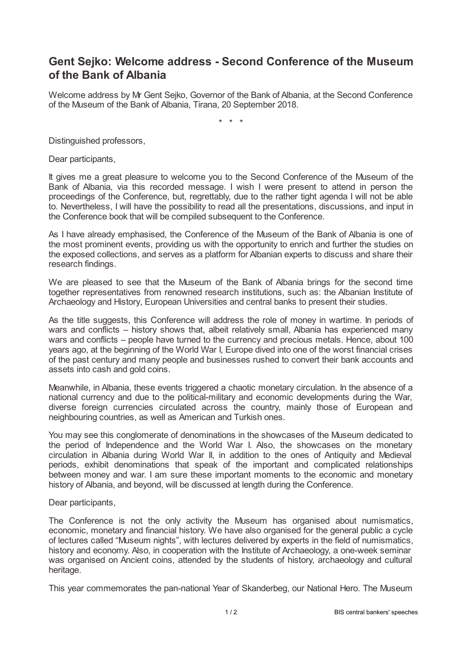## **Gent Sejko: Welcome address - Second Conference of the Museum of the Bank of Albania**

Welcome address by Mr Gent Sejko, Governor of the Bank of Albania, at the Second Conference of the Museum of the Bank of Albania, Tirana, 20 September 2018.

\* \* \*

Distinguished professors,

Dear participants,

It gives me a great pleasure to welcome you to the Second Conference of the Museum of the Bank of Albania, via this recorded message. I wish I were present to attend in person the proceedings of the Conference, but, regrettably, due to the rather tight agenda I will not be able to. Nevertheless, I will have the possibility to read all the presentations, discussions, and input in the Conference book that will be compiled subsequent to the Conference.

As I have already emphasised, the Conference of the Museum of the Bank of Albania is one of the most prominent events, providing us with the opportunity to enrich and further the studies on the exposed collections, and serves as a platform for Albanian experts to discuss and share their research findings.

We are pleased to see that the Museum of the Bank of Albania brings for the second time together representatives from renowned research institutions, such as: the Albanian Institute of Archaeology and History, European Universities and central banks to present their studies.

As the title suggests, this Conference will address the role of money in wartime. In periods of wars and conflicts – history shows that, albeit relatively small, Albania has experienced many wars and conflicts – people have turned to the currency and precious metals. Hence, about 100 years ago, at the beginning of the World War I, Europe dived into one of the worst financial crises of the past century and many people and businesses rushed to convert their bank accounts and assets into cash and gold coins.

Meanwhile, in Albania, these events triggered a chaotic monetary circulation. In the absence of a national currency and due to the political-military and economic developments during the War, diverse foreign currencies circulated across the country, mainly those of European and neighbouring countries, as well as American and Turkish ones.

You may see this conglomerate of denominations in the showcases of the Museum dedicated to the period of Independence and the World War I. Also, the showcases on the monetary circulation in Albania during World War II, in addition to the ones of Antiquity and Medieval periods, exhibit denominations that speak of the important and complicated relationships between money and war. I am sure these important moments to the economic and monetary history of Albania, and beyond, will be discussed at length during the Conference.

Dear participants,

The Conference is not the only activity the Museum has organised about numismatics, economic, monetary and financial history. We have also organised for the general public a cycle of lectures called "Museum nights", with lectures delivered by experts in the field of numismatics, history and economy. Also, in cooperation with the Institute of Archaeology, a one-week seminar was organised on Ancient coins, attended by the students of history, archaeology and cultural heritage.

This year commemorates the pan-national Year of Skanderbeg, our National Hero. The Museum